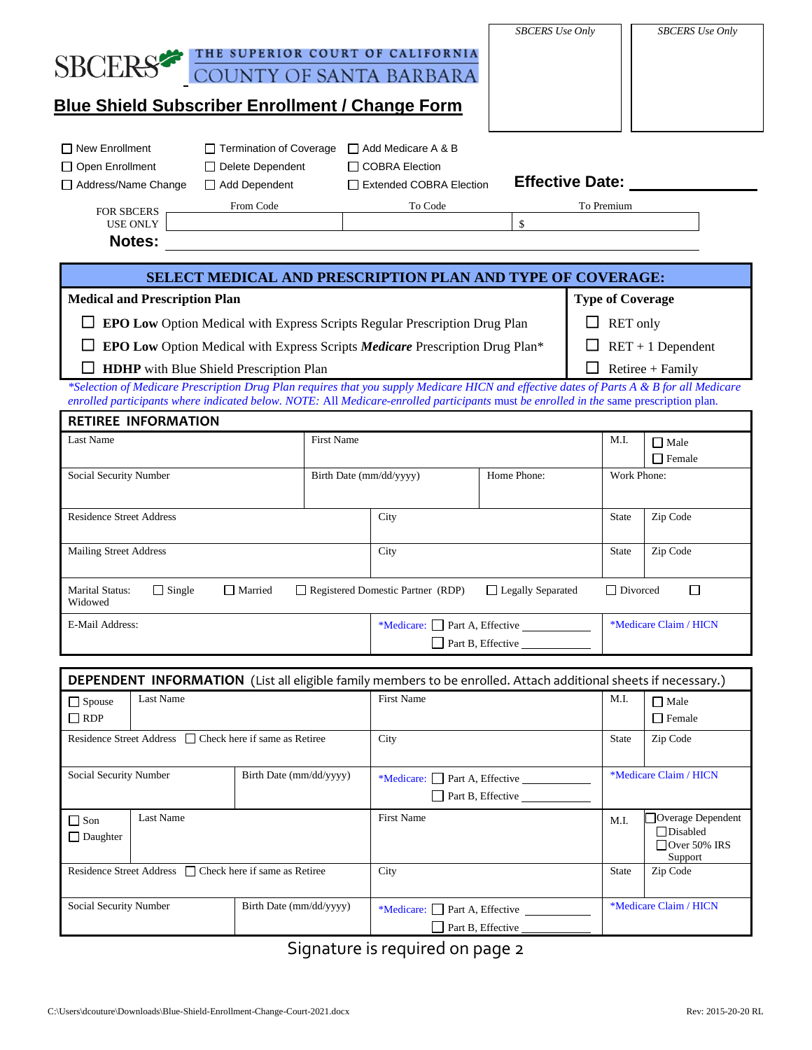|                                                                                                                    |               |                                                          |                              |                                                                                                                                                                                                                                                                                   | <b>SBCERS</b> Use Only |                         |                        | <b>SBCERS</b> Use Only                            |  |
|--------------------------------------------------------------------------------------------------------------------|---------------|----------------------------------------------------------|------------------------------|-----------------------------------------------------------------------------------------------------------------------------------------------------------------------------------------------------------------------------------------------------------------------------------|------------------------|-------------------------|------------------------|---------------------------------------------------|--|
|                                                                                                                    |               |                                                          |                              | THE SUPERIOR COURT OF CALIFORNIA                                                                                                                                                                                                                                                  |                        |                         |                        |                                                   |  |
| <b>SBCERS®</b>                                                                                                     |               |                                                          |                              | COUNTY OF SANTA BARBARA                                                                                                                                                                                                                                                           |                        |                         |                        |                                                   |  |
|                                                                                                                    |               |                                                          |                              |                                                                                                                                                                                                                                                                                   |                        |                         |                        |                                                   |  |
|                                                                                                                    |               | <b>Blue Shield Subscriber Enrollment / Change Form</b>   |                              |                                                                                                                                                                                                                                                                                   |                        |                         |                        |                                                   |  |
|                                                                                                                    |               |                                                          |                              |                                                                                                                                                                                                                                                                                   |                        |                         |                        |                                                   |  |
| $\Box$ New Enrollment                                                                                              |               | $\Box$ Termination of Coverage                           |                              | □ Add Medicare A & B                                                                                                                                                                                                                                                              |                        |                         |                        |                                                   |  |
| $\Box$ Open Enrollment                                                                                             |               | Delete Dependent                                         |                              | $\Box$ COBRA Election                                                                                                                                                                                                                                                             |                        |                         |                        |                                                   |  |
| Address/Name Change                                                                                                |               | Add Dependent                                            |                              | Extended COBRA Election                                                                                                                                                                                                                                                           |                        | <b>Effective Date:</b>  |                        |                                                   |  |
| From Code<br>FOR SBCERS                                                                                            |               |                                                          | To Code                      |                                                                                                                                                                                                                                                                                   |                        | To Premium              |                        |                                                   |  |
| <b>USE ONLY</b>                                                                                                    |               |                                                          |                              |                                                                                                                                                                                                                                                                                   | $\mathsf{\$}$          |                         |                        |                                                   |  |
| <b>Notes:</b>                                                                                                      |               |                                                          |                              |                                                                                                                                                                                                                                                                                   |                        |                         |                        |                                                   |  |
|                                                                                                                    |               |                                                          |                              | SELECT MEDICAL AND PRESCRIPTION PLAN AND TYPE OF COVERAGE:                                                                                                                                                                                                                        |                        |                         |                        |                                                   |  |
|                                                                                                                    |               |                                                          |                              |                                                                                                                                                                                                                                                                                   |                        | <b>Type of Coverage</b> |                        |                                                   |  |
| <b>Medical and Prescription Plan</b><br>EPO Low Option Medical with Express Scripts Regular Prescription Drug Plan |               |                                                          |                              |                                                                                                                                                                                                                                                                                   |                        |                         | RET only               |                                                   |  |
|                                                                                                                    |               |                                                          |                              |                                                                                                                                                                                                                                                                                   |                        |                         |                        |                                                   |  |
|                                                                                                                    |               |                                                          |                              | EPO Low Option Medical with Express Scripts Medicare Prescription Drug Plan*                                                                                                                                                                                                      |                        |                         | $RET + 1$ Dependent    |                                                   |  |
|                                                                                                                    |               | <b>HDHP</b> with Blue Shield Prescription Plan           |                              |                                                                                                                                                                                                                                                                                   |                        |                         | Retiree + Family       |                                                   |  |
|                                                                                                                    |               |                                                          |                              | *Selection of Medicare Prescription Drug Plan requires that you supply Medicare HICN and effective dates of Parts A & B for all Medicare<br>enrolled participants where indicated below. NOTE: All Medicare-enrolled participants must be enrolled in the same prescription plan. |                        |                         |                        |                                                   |  |
| <b>RETIREE INFORMATION</b>                                                                                         |               |                                                          |                              |                                                                                                                                                                                                                                                                                   |                        |                         |                        |                                                   |  |
| <b>Last Name</b>                                                                                                   |               | <b>First Name</b>                                        |                              |                                                                                                                                                                                                                                                                                   | M.I.                   | $\Box$ Male             |                        |                                                   |  |
|                                                                                                                    |               |                                                          |                              |                                                                                                                                                                                                                                                                                   |                        |                         | $\Box$ Female          |                                                   |  |
| Social Security Number                                                                                             |               | Birth Date (mm/dd/yyyy)                                  | Home Phone:                  |                                                                                                                                                                                                                                                                                   |                        | Work Phone:             |                        |                                                   |  |
|                                                                                                                    |               |                                                          |                              |                                                                                                                                                                                                                                                                                   |                        |                         |                        |                                                   |  |
| <b>Residence Street Address</b>                                                                                    |               |                                                          |                              | City                                                                                                                                                                                                                                                                              |                        | <b>State</b>            | Zip Code               |                                                   |  |
| <b>Mailing Street Address</b>                                                                                      |               |                                                          |                              | City                                                                                                                                                                                                                                                                              |                        | <b>State</b>            | Zip Code               |                                                   |  |
|                                                                                                                    |               |                                                          |                              |                                                                                                                                                                                                                                                                                   |                        |                         |                        |                                                   |  |
| <b>Marital Status:</b><br>Widowed                                                                                  | $\Box$ Single | $\Box$ Married                                           |                              | Registered Domestic Partner (RDP)                                                                                                                                                                                                                                                 | □ Legally Separated    |                         | $\Box$ Divorced        | П                                                 |  |
| E-Mail Address:                                                                                                    |               |                                                          | *Medicare: Part A, Effective |                                                                                                                                                                                                                                                                                   |                        | *Medicare Claim / HICN  |                        |                                                   |  |
|                                                                                                                    |               |                                                          |                              | Part B, Effective                                                                                                                                                                                                                                                                 |                        |                         |                        |                                                   |  |
|                                                                                                                    |               |                                                          |                              |                                                                                                                                                                                                                                                                                   |                        |                         |                        |                                                   |  |
|                                                                                                                    |               |                                                          |                              | DEPENDENT INFORMATION (List all eligible family members to be enrolled. Attach additional sheets if necessary.)                                                                                                                                                                   |                        |                         |                        |                                                   |  |
| Last Name<br>$\Box$ Spouse                                                                                         |               |                                                          | <b>First Name</b>            |                                                                                                                                                                                                                                                                                   | M.I.                   | $\Box$ Male             |                        |                                                   |  |
| $\Box$ RDP                                                                                                         |               |                                                          |                              |                                                                                                                                                                                                                                                                                   |                        |                         |                        | $\Box$ Female                                     |  |
|                                                                                                                    |               | Residence Street Address □ Check here if same as Retiree |                              | City                                                                                                                                                                                                                                                                              |                        | <b>State</b>            | Zip Code               |                                                   |  |
| Social Security Number<br>Birth Date (mm/dd/yyyy)                                                                  |               | *Medicare: Part A, Effective                             |                              |                                                                                                                                                                                                                                                                                   | *Medicare Claim / HICN |                         |                        |                                                   |  |
|                                                                                                                    |               |                                                          |                              |                                                                                                                                                                                                                                                                                   | Part B, Effective      |                         |                        |                                                   |  |
| $\Box$ Son                                                                                                         | Last Name     |                                                          |                              | <b>First Name</b>                                                                                                                                                                                                                                                                 |                        | M.I.                    |                        | Overage Dependent                                 |  |
| $\Box$ Daughter                                                                                                    |               |                                                          |                              |                                                                                                                                                                                                                                                                                   |                        |                         |                        | $\Box$ Disabled<br>$\Box$ Over 50% IRS<br>Support |  |
|                                                                                                                    |               | Residence Street Address □ Check here if same as Retiree |                              | City                                                                                                                                                                                                                                                                              |                        | <b>State</b>            | Zip Code               |                                                   |  |
| Social Security Number                                                                                             |               | Birth Date (mm/dd/yyyy)                                  |                              | *Medicare: Part A, Effective                                                                                                                                                                                                                                                      |                        |                         | *Medicare Claim / HICN |                                                   |  |
|                                                                                                                    |               |                                                          |                              |                                                                                                                                                                                                                                                                                   | Part B, Effective      |                         |                        |                                                   |  |

Signature is required on page 2